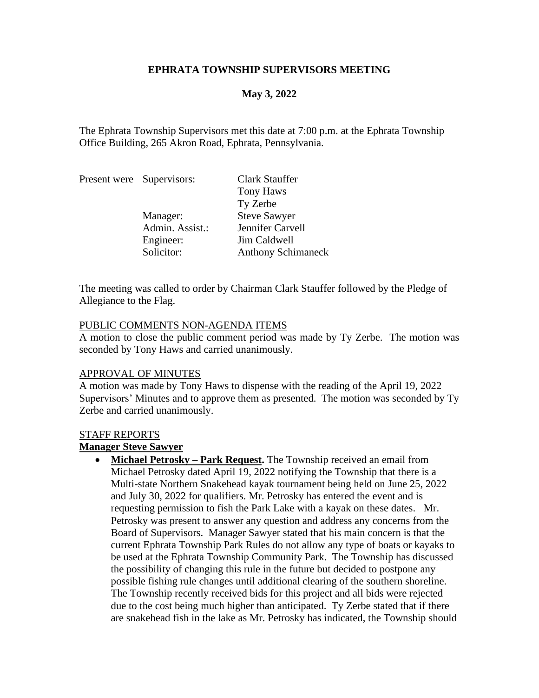## **EPHRATA TOWNSHIP SUPERVISORS MEETING**

## **May 3, 2022**

The Ephrata Township Supervisors met this date at 7:00 p.m. at the Ephrata Township Office Building, 265 Akron Road, Ephrata, Pennsylvania.

|  | Present were Supervisors: | Clark Stauffer            |
|--|---------------------------|---------------------------|
|  |                           | Tony Haws                 |
|  |                           | Ty Zerbe                  |
|  | Manager:                  | <b>Steve Sawyer</b>       |
|  | Admin. Assist.:           | Jennifer Carvell          |
|  | Engineer:                 | Jim Caldwell              |
|  | Solicitor:                | <b>Anthony Schimaneck</b> |

The meeting was called to order by Chairman Clark Stauffer followed by the Pledge of Allegiance to the Flag.

#### PUBLIC COMMENTS NON-AGENDA ITEMS

A motion to close the public comment period was made by Ty Zerbe. The motion was seconded by Tony Haws and carried unanimously.

### APPROVAL OF MINUTES

A motion was made by Tony Haws to dispense with the reading of the April 19, 2022 Supervisors' Minutes and to approve them as presented. The motion was seconded by Ty Zerbe and carried unanimously.

#### STAFF REPORTS

# **Manager Steve Sawyer**

• **Michael Petrosky – Park Request.** The Township received an email from Michael Petrosky dated April 19, 2022 notifying the Township that there is a Multi-state Northern Snakehead kayak tournament being held on June 25, 2022 and July 30, 2022 for qualifiers. Mr. Petrosky has entered the event and is requesting permission to fish the Park Lake with a kayak on these dates. Mr. Petrosky was present to answer any question and address any concerns from the Board of Supervisors. Manager Sawyer stated that his main concern is that the current Ephrata Township Park Rules do not allow any type of boats or kayaks to be used at the Ephrata Township Community Park. The Township has discussed the possibility of changing this rule in the future but decided to postpone any possible fishing rule changes until additional clearing of the southern shoreline. The Township recently received bids for this project and all bids were rejected due to the cost being much higher than anticipated. Ty Zerbe stated that if there are snakehead fish in the lake as Mr. Petrosky has indicated, the Township should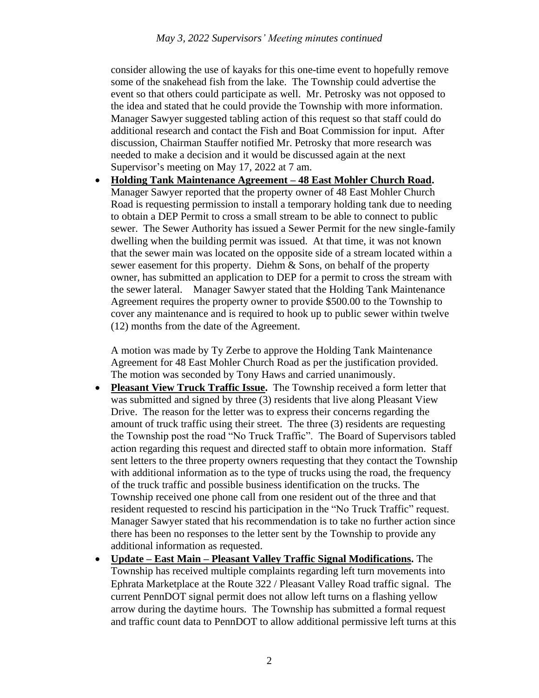consider allowing the use of kayaks for this one-time event to hopefully remove some of the snakehead fish from the lake. The Township could advertise the event so that others could participate as well. Mr. Petrosky was not opposed to the idea and stated that he could provide the Township with more information. Manager Sawyer suggested tabling action of this request so that staff could do additional research and contact the Fish and Boat Commission for input. After discussion, Chairman Stauffer notified Mr. Petrosky that more research was needed to make a decision and it would be discussed again at the next Supervisor's meeting on May 17, 2022 at 7 am.

• **Holding Tank Maintenance Agreement – 48 East Mohler Church Road.** Manager Sawyer reported that the property owner of 48 East Mohler Church Road is requesting permission to install a temporary holding tank due to needing to obtain a DEP Permit to cross a small stream to be able to connect to public sewer. The Sewer Authority has issued a Sewer Permit for the new single-family dwelling when the building permit was issued. At that time, it was not known that the sewer main was located on the opposite side of a stream located within a sewer easement for this property. Diehm & Sons, on behalf of the property owner, has submitted an application to DEP for a permit to cross the stream with the sewer lateral. Manager Sawyer stated that the Holding Tank Maintenance Agreement requires the property owner to provide \$500.00 to the Township to cover any maintenance and is required to hook up to public sewer within twelve (12) months from the date of the Agreement.

A motion was made by Ty Zerbe to approve the Holding Tank Maintenance Agreement for 48 East Mohler Church Road as per the justification provided. The motion was seconded by Tony Haws and carried unanimously.

- **Pleasant View Truck Traffic Issue.** The Township received a form letter that was submitted and signed by three (3) residents that live along Pleasant View Drive. The reason for the letter was to express their concerns regarding the amount of truck traffic using their street. The three (3) residents are requesting the Township post the road "No Truck Traffic". The Board of Supervisors tabled action regarding this request and directed staff to obtain more information. Staff sent letters to the three property owners requesting that they contact the Township with additional information as to the type of trucks using the road, the frequency of the truck traffic and possible business identification on the trucks. The Township received one phone call from one resident out of the three and that resident requested to rescind his participation in the "No Truck Traffic" request. Manager Sawyer stated that his recommendation is to take no further action since there has been no responses to the letter sent by the Township to provide any additional information as requested.
- **Update – East Main – Pleasant Valley Traffic Signal Modifications.** The Township has received multiple complaints regarding left turn movements into Ephrata Marketplace at the Route 322 / Pleasant Valley Road traffic signal. The current PennDOT signal permit does not allow left turns on a flashing yellow arrow during the daytime hours. The Township has submitted a formal request and traffic count data to PennDOT to allow additional permissive left turns at this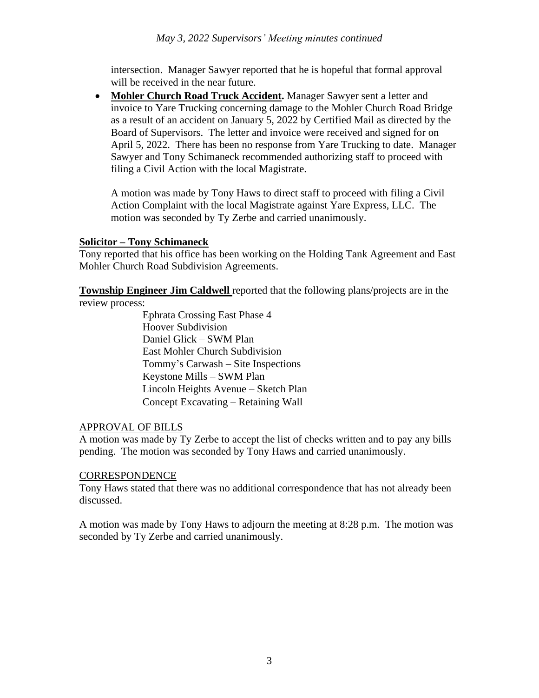intersection. Manager Sawyer reported that he is hopeful that formal approval will be received in the near future.

• **Mohler Church Road Truck Accident.** Manager Sawyer sent a letter and invoice to Yare Trucking concerning damage to the Mohler Church Road Bridge as a result of an accident on January 5, 2022 by Certified Mail as directed by the Board of Supervisors. The letter and invoice were received and signed for on April 5, 2022. There has been no response from Yare Trucking to date. Manager Sawyer and Tony Schimaneck recommended authorizing staff to proceed with filing a Civil Action with the local Magistrate.

A motion was made by Tony Haws to direct staff to proceed with filing a Civil Action Complaint with the local Magistrate against Yare Express, LLC. The motion was seconded by Ty Zerbe and carried unanimously.

## **Solicitor – Tony Schimaneck**

Tony reported that his office has been working on the Holding Tank Agreement and East Mohler Church Road Subdivision Agreements.

**Township Engineer Jim Caldwell** reported that the following plans/projects are in the review process:

> Ephrata Crossing East Phase 4 Hoover Subdivision Daniel Glick – SWM Plan East Mohler Church Subdivision Tommy's Carwash – Site Inspections Keystone Mills – SWM Plan Lincoln Heights Avenue – Sketch Plan Concept Excavating – Retaining Wall

# APPROVAL OF BILLS

A motion was made by Ty Zerbe to accept the list of checks written and to pay any bills pending. The motion was seconded by Tony Haws and carried unanimously.

### **CORRESPONDENCE**

Tony Haws stated that there was no additional correspondence that has not already been discussed.

A motion was made by Tony Haws to adjourn the meeting at 8:28 p.m. The motion was seconded by Ty Zerbe and carried unanimously.